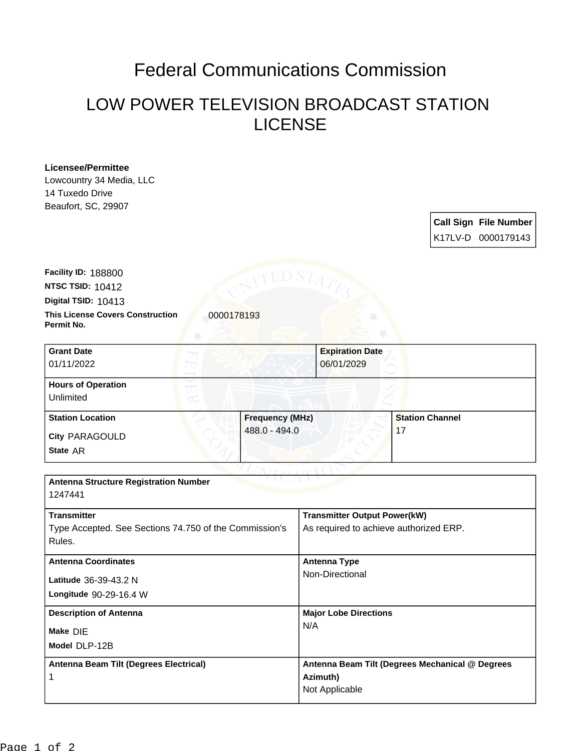## Federal Communications Commission

## LOW POWER TELEVISION BROADCAST STATION LICENSE

## **Licensee/Permittee**

Lowcountry 34 Media, LLC 14 Tuxedo Drive Beaufort, SC, 29907

> **Call Sign File Number** K17LV-D 0000179143

**This License Covers Construction**  0000178193 **Permit No. Digital TSID:** 10413 **NTSC TSID:** 10412 **Facility ID:** 188800

| <b>Grant Date</b><br>01/11/2022        | <b>Expiration Date</b><br>06/01/2029 |                        |
|----------------------------------------|--------------------------------------|------------------------|
| <b>Hours of Operation</b><br>Unlimited |                                      |                        |
| <b>Station Location</b>                | <b>Frequency (MHz)</b>               | <b>Station Channel</b> |
| <b>City PARAGOULD</b><br>State AR      | 488.0 - 494.0                        | 17                     |

| <b>Antenna Structure Registration Number</b><br>1247441                                |                                                                               |  |  |
|----------------------------------------------------------------------------------------|-------------------------------------------------------------------------------|--|--|
| <b>Transmitter</b><br>Type Accepted. See Sections 74.750 of the Commission's<br>Rules. | <b>Transmitter Output Power(kW)</b><br>As required to achieve authorized ERP. |  |  |
| <b>Antenna Coordinates</b>                                                             | Antenna Type                                                                  |  |  |
| Latitude 36-39-43.2 N<br>Longitude 90-29-16.4 W                                        | Non-Directional                                                               |  |  |
| <b>Description of Antenna</b>                                                          | <b>Major Lobe Directions</b>                                                  |  |  |
| Make DIE<br>Model DLP-12B                                                              | N/A                                                                           |  |  |
| Antenna Beam Tilt (Degrees Electrical)                                                 | Antenna Beam Tilt (Degrees Mechanical @ Degrees<br>Azimuth)<br>Not Applicable |  |  |